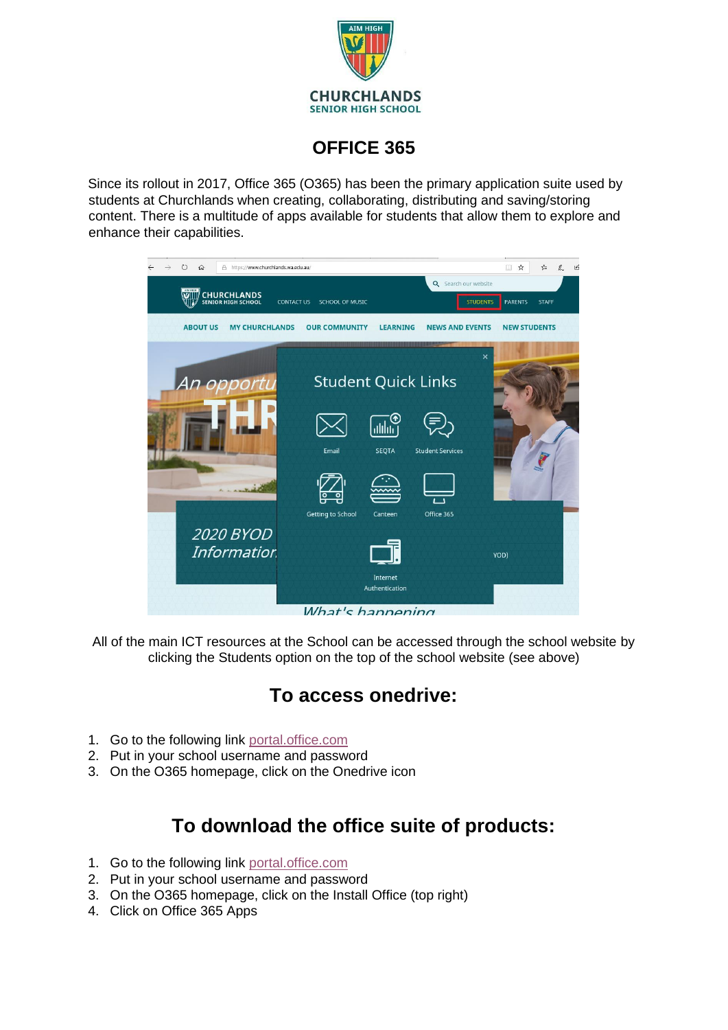

# **OFFICE 365**

Since its rollout in 2017, Office 365 (O365) has been the primary application suite used by students at Churchlands when creating, collaborating, distributing and saving/storing content. There is a multitude of apps available for students that allow them to explore and enhance their capabilities.



All of the main ICT resources at the School can be accessed through the school website by clicking the Students option on the top of the school website (see above)

# **To access onedrive:**

- 1. Go to the following link [portal.office.com](https://www.office.com/)
- 2. Put in your school username and password
- 3. On the O365 homepage, click on the Onedrive icon

# **To download the office suite of products:**

- 1. Go to the following link [portal.office.com](https://www.office.com/)
- 2. Put in your school username and password
- 3. On the O365 homepage, click on the Install Office (top right)
- 4. Click on Office 365 Apps